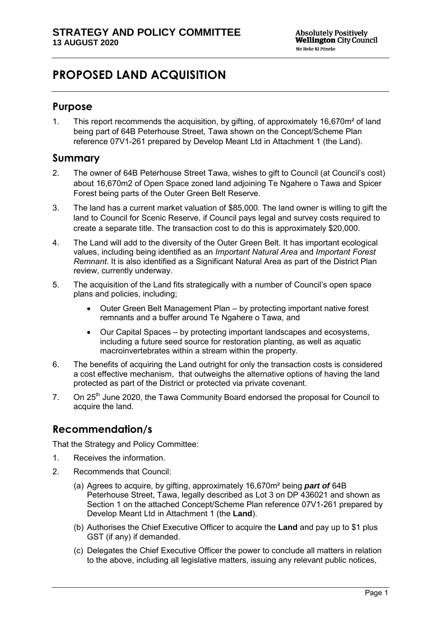# **PROPOSED LAND ACQUISITION**

## **Purpose**

1. This report recommends the acquisition, by gifting, of approximately 16,670m² of land being part of 64B Peterhouse Street, Tawa shown on the Concept/Scheme Plan reference 07V1-261 prepared by Develop Meant Ltd in Attachment 1 (the Land).

## **Summary**

- 2. The owner of 64B Peterhouse Street Tawa, wishes to gift to Council (at Council's cost) about 16,670m2 of Open Space zoned land adjoining Te Ngahere o Tawa and Spicer Forest being parts of the Outer Green Belt Reserve.
- 3. The land has a current market valuation of \$85,000. The land owner is willing to gift the land to Council for Scenic Reserve, if Council pays legal and survey costs required to create a separate title. The transaction cost to do this is approximately \$20,000.
- 4. The Land will add to the diversity of the Outer Green Belt. It has important ecological values, including being identified as an *Important Natural Area* and *Important Forest Remnant*. It is also identified as a Significant Natural Area as part of the District Plan review, currently underway.
- 5. The acquisition of the Land fits strategically with a number of Council's open space plans and policies, including;
	- Outer Green Belt Management Plan by protecting important native forest remnants and a buffer around Te Ngahere o Tawa, and
	- Our Capital Spaces by protecting important landscapes and ecosystems, including a future seed source for restoration planting, as well as aquatic macroinvertebrates within a stream within the property.
- 6. The benefits of acquiring the Land outright for only the transaction costs is considered a cost effective mechanism, that outweighs the alternative options of having the land protected as part of the District or protected via private covenant.
- 7. On 25<sup>th</sup> June 2020, the Tawa Community Board endorsed the proposal for Council to acquire the land.

## **Recommendation/s**

That the Strategy and Policy Committee:

- 1. Receives the information.
- 2. Recommends that Council:
	- (a) Agrees to acquire, by gifting, approximately 16,670m² being *part of* 64B Peterhouse Street, Tawa, legally described as Lot 3 on DP 436021 and shown as Section 1 on the attached Concept/Scheme Plan reference 07V1-261 prepared by Develop Meant Ltd in Attachment 1 (the **Land**).
	- (b) Authorises the Chief Executive Officer to acquire the **Land** and pay up to \$1 plus GST (if any) if demanded.
	- (c) Delegates the Chief Executive Officer the power to conclude all matters in relation to the above, including all legislative matters, issuing any relevant public notices,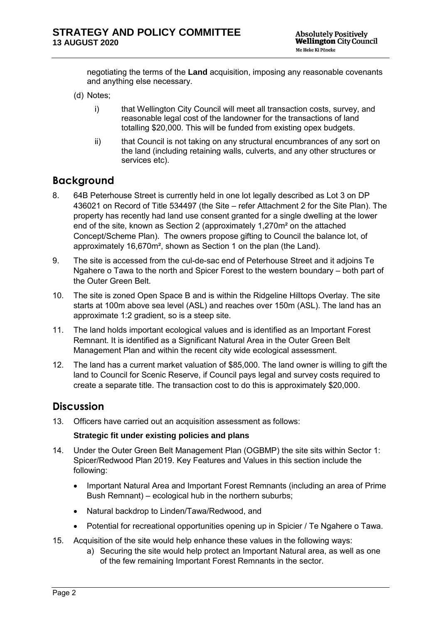negotiating the terms of the **Land** acquisition, imposing any reasonable covenants and anything else necessary.

- (d) Notes;
	- i) that Wellington City Council will meet all transaction costs, survey, and reasonable legal cost of the landowner for the transactions of land totalling \$20,000. This will be funded from existing opex budgets.
	- ii) that Council is not taking on any structural encumbrances of any sort on the land (including retaining walls, culverts, and any other structures or services etc).

## **Background**

- 8. 64B Peterhouse Street is currently held in one lot legally described as Lot 3 on DP 436021 on Record of Title 534497 (the Site – refer Attachment 2 for the Site Plan). The property has recently had land use consent granted for a single dwelling at the lower end of the site, known as Section 2 (approximately 1,270m² on the attached Concept/Scheme Plan). The owners propose gifting to Council the balance lot, of approximately 16,670m², shown as Section 1 on the plan (the Land).
- 9. The site is accessed from the cul-de-sac end of Peterhouse Street and it adjoins Te Ngahere o Tawa to the north and Spicer Forest to the western boundary – both part of the Outer Green Belt.
- 10. The site is zoned Open Space B and is within the Ridgeline Hilltops Overlay. The site starts at 100m above sea level (ASL) and reaches over 150m (ASL). The land has an approximate 1:2 gradient, so is a steep site.
- 11. The land holds important ecological values and is identified as an Important Forest Remnant. It is identified as a Significant Natural Area in the Outer Green Belt Management Plan and within the recent city wide ecological assessment.
- 12. The land has a current market valuation of \$85,000. The land owner is willing to gift the land to Council for Scenic Reserve, if Council pays legal and survey costs required to create a separate title. The transaction cost to do this is approximately \$20,000.

## **Discussion**

13. Officers have carried out an acquisition assessment as follows:

#### **Strategic fit under existing policies and plans**

- 14. Under the Outer Green Belt Management Plan (OGBMP) the site sits within Sector 1: Spicer/Redwood Plan 2019. Key Features and Values in this section include the following:
	- Important Natural Area and Important Forest Remnants (including an area of Prime Bush Remnant) – ecological hub in the northern suburbs;
	- Natural backdrop to Linden/Tawa/Redwood, and
	- Potential for recreational opportunities opening up in Spicier / Te Ngahere o Tawa.
- 15. Acquisition of the site would help enhance these values in the following ways:
	- a) Securing the site would help protect an Important Natural area, as well as one of the few remaining Important Forest Remnants in the sector.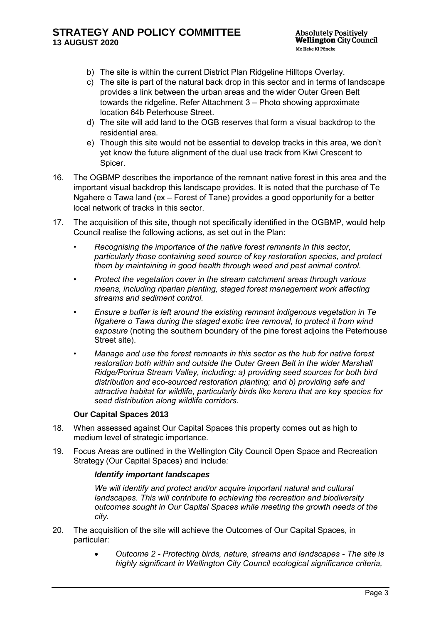- b) The site is within the current District Plan Ridgeline Hilltops Overlay.
- c) The site is part of the natural back drop in this sector and in terms of landscape provides a link between the urban areas and the wider Outer Green Belt towards the ridgeline. Refer Attachment 3 – Photo showing approximate location 64b Peterhouse Street.
- d) The site will add land to the OGB reserves that form a visual backdrop to the residential area.
- e) Though this site would not be essential to develop tracks in this area, we don't yet know the future alignment of the dual use track from Kiwi Crescent to Spicer.
- 16. The OGBMP describes the importance of the remnant native forest in this area and the important visual backdrop this landscape provides. It is noted that the purchase of Te Ngahere o Tawa land (ex – Forest of Tane) provides a good opportunity for a better local network of tracks in this sector.
- 17. The acquisition of this site, though not specifically identified in the OGBMP, would help Council realise the following actions, as set out in the Plan:
	- *Recognising the importance of the native forest remnants in this sector, particularly those containing seed source of key restoration species, and protect them by maintaining in good health through weed and pest animal control.*
	- *Protect the vegetation cover in the stream catchment areas through various means, including riparian planting, staged forest management work affecting streams and sediment control.*
	- *Ensure a buffer is left around the existing remnant indigenous vegetation in Te Ngahere o Tawa during the staged exotic tree removal, to protect it from wind exposure* (noting the southern boundary of the pine forest adjoins the Peterhouse Street site).
	- *Manage and use the forest remnants in this sector as the hub for native forest restoration both within and outside the Outer Green Belt in the wider Marshall Ridge/Porirua Stream Valley, including: a) providing seed sources for both bird distribution and eco-sourced restoration planting; and b) providing safe and attractive habitat for wildlife, particularly birds like kereru that are key species for seed distribution along wildlife corridors.*

#### **Our Capital Spaces 2013**

- 18. When assessed against Our Capital Spaces this property comes out as high to medium level of strategic importance.
- 19. Focus Areas are outlined in the Wellington City Council Open Space and Recreation Strategy (Our Capital Spaces) and include*:*

#### *Identify important landscapes*

*We will identify and protect and/or acquire important natural and cultural landscapes. This will contribute to achieving the recreation and biodiversity outcomes sought in Our Capital Spaces while meeting the growth needs of the city.* 

- 20. The acquisition of the site will achieve the Outcomes of Our Capital Spaces, in particular:
	- *Outcome 2 Protecting birds, nature, streams and landscapes The site is highly significant in Wellington City Council ecological significance criteria,*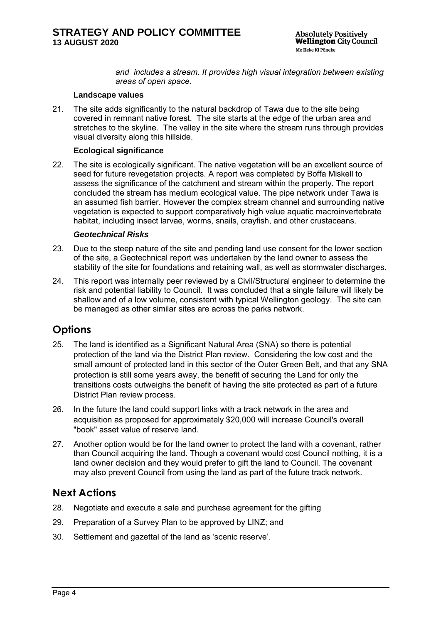*and includes a stream. It provides high visual integration between existing areas of open space.* 

#### **Landscape values**

21. The site adds significantly to the natural backdrop of Tawa due to the site being covered in remnant native forest. The site starts at the edge of the urban area and stretches to the skyline. The valley in the site where the stream runs through provides visual diversity along this hillside.

#### **Ecological significance**

22. The site is ecologically significant. The native vegetation will be an excellent source of seed for future revegetation projects. A report was completed by Boffa Miskell to assess the significance of the catchment and stream within the property. The report concluded the stream has medium ecological value. The pipe network under Tawa is an assumed fish barrier. However the complex stream channel and surrounding native vegetation is expected to support comparatively high value aquatic macroinvertebrate habitat, including insect larvae, worms, snails, crayfish, and other crustaceans.

#### *Geotechnical Risks*

- 23. Due to the steep nature of the site and pending land use consent for the lower section of the site, a Geotechnical report was undertaken by the land owner to assess the stability of the site for foundations and retaining wall, as well as stormwater discharges.
- 24. This report was internally peer reviewed by a Civil/Structural engineer to determine the risk and potential liability to Council. It was concluded that a single failure will likely be shallow and of a low volume, consistent with typical Wellington geology. The site can be managed as other similar sites are across the parks network.

## **Options**

- 25. The land is identified as a Significant Natural Area (SNA) so there is potential protection of the land via the District Plan review. Considering the low cost and the small amount of protected land in this sector of the Outer Green Belt, and that any SNA protection is still some years away, the benefit of securing the Land for only the transitions costs outweighs the benefit of having the site protected as part of a future District Plan review process.
- 26. In the future the land could support links with a track network in the area and acquisition as proposed for approximately \$20,000 will increase Council's overall "book" asset value of reserve land.
- 27. Another option would be for the land owner to protect the land with a covenant, rather than Council acquiring the land. Though a covenant would cost Council nothing, it is a land owner decision and they would prefer to gift the land to Council. The covenant may also prevent Council from using the land as part of the future track network.

## **Next Actions**

- 28. Negotiate and execute a sale and purchase agreement for the gifting
- 29. Preparation of a Survey Plan to be approved by LINZ; and
- 30. Settlement and gazettal of the land as 'scenic reserve'.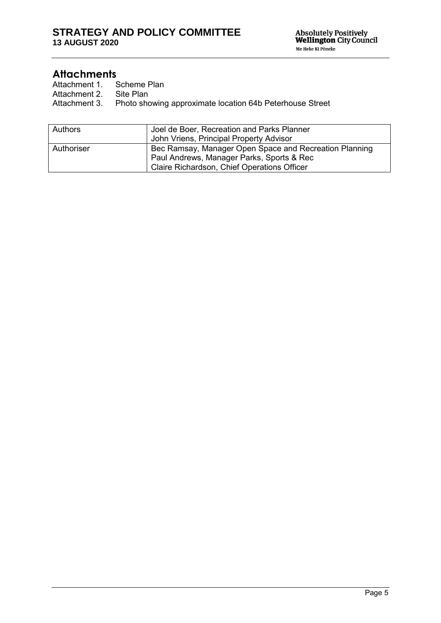Attachments<br>Attachment 1. Scheme Plan Attachment 1. Scheme F<br>Attachment 2. Site Plan

Attachment 2.<br>Attachment 3.

Photo showing approximate location 64b Peterhouse Street

| Authors    | Joel de Boer, Recreation and Parks Planner             |
|------------|--------------------------------------------------------|
|            | John Vriens, Principal Property Advisor                |
| Authoriser | Bec Ramsay, Manager Open Space and Recreation Planning |
|            | Paul Andrews, Manager Parks, Sports & Rec              |
|            | <b>Claire Richardson, Chief Operations Officer</b>     |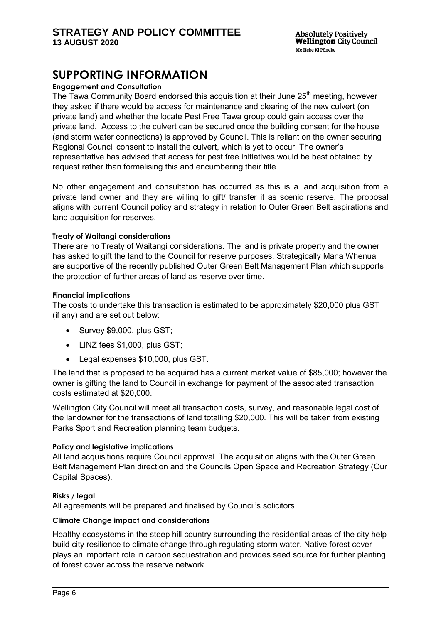# **SUPPORTING INFORMATION**

## **Engagement and Consultation**

The Tawa Community Board endorsed this acquisition at their June  $25<sup>th</sup>$  meeting, however they asked if there would be access for maintenance and clearing of the new culvert (on private land) and whether the locate Pest Free Tawa group could gain access over the private land. Access to the culvert can be secured once the building consent for the house (and storm water connections) is approved by Council. This is reliant on the owner securing Regional Council consent to install the culvert, which is yet to occur. The owner's representative has advised that access for pest free initiatives would be best obtained by request rather than formalising this and encumbering their title.

No other engagement and consultation has occurred as this is a land acquisition from a private land owner and they are willing to gift/ transfer it as scenic reserve. The proposal aligns with current Council policy and strategy in relation to Outer Green Belt aspirations and land acquisition for reserves.

#### **Treaty of Waitangi considerations**

There are no Treaty of Waitangi considerations. The land is private property and the owner has asked to gift the land to the Council for reserve purposes. Strategically Mana Whenua are supportive of the recently published Outer Green Belt Management Plan which supports the protection of further areas of land as reserve over time.

#### **Financial implications**

The costs to undertake this transaction is estimated to be approximately \$20,000 plus GST (if any) and are set out below:

- Survey \$9,000, plus GST;
- LINZ fees \$1,000, plus GST;
- Legal expenses \$10,000, plus GST.

The land that is proposed to be acquired has a current market value of \$85,000; however the owner is gifting the land to Council in exchange for payment of the associated transaction costs estimated at \$20,000.

Wellington City Council will meet all transaction costs, survey, and reasonable legal cost of the landowner for the transactions of land totalling \$20,000. This will be taken from existing Parks Sport and Recreation planning team budgets.

#### **Policy and legislative implications**

All land acquisitions require Council approval. The acquisition aligns with the Outer Green Belt Management Plan direction and the Councils Open Space and Recreation Strategy (Our Capital Spaces).

#### **Risks / legal**

All agreements will be prepared and finalised by Council's solicitors.

#### **Climate Change impact and considerations**

Healthy ecosystems in the steep hill country surrounding the residential areas of the city help build city resilience to climate change through regulating storm water. Native forest cover plays an important role in carbon sequestration and provides seed source for further planting of forest cover across the reserve network.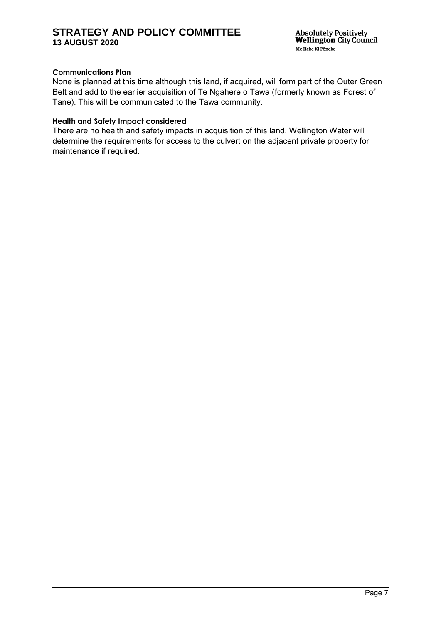#### **Communications Plan**

None is planned at this time although this land, if acquired, will form part of the Outer Green Belt and add to the earlier acquisition of Te Ngahere o Tawa (formerly known as Forest of Tane). This will be communicated to the Tawa community.

#### **Health and Safety Impact considered**

There are no health and safety impacts in acquisition of this land. Wellington Water will determine the requirements for access to the culvert on the adjacent private property for maintenance if required.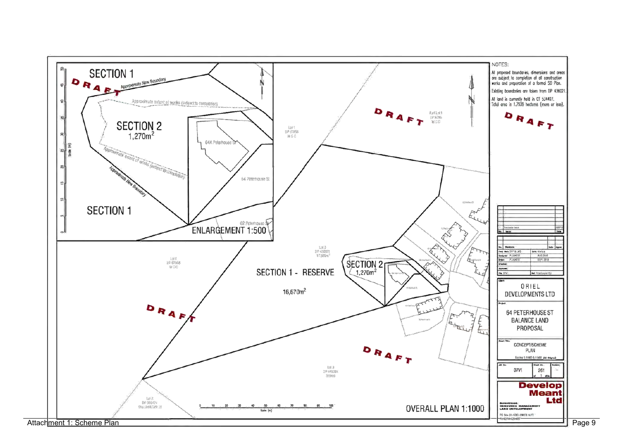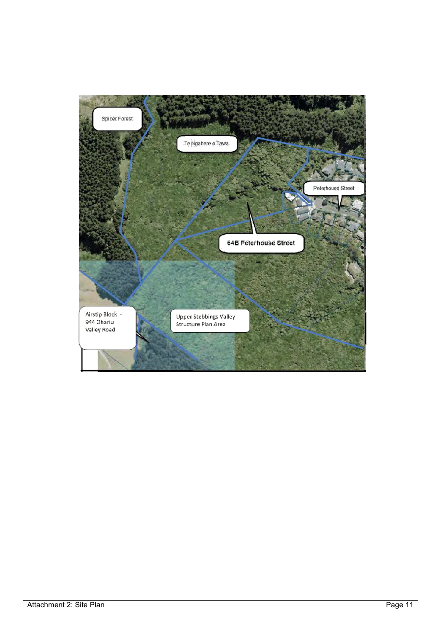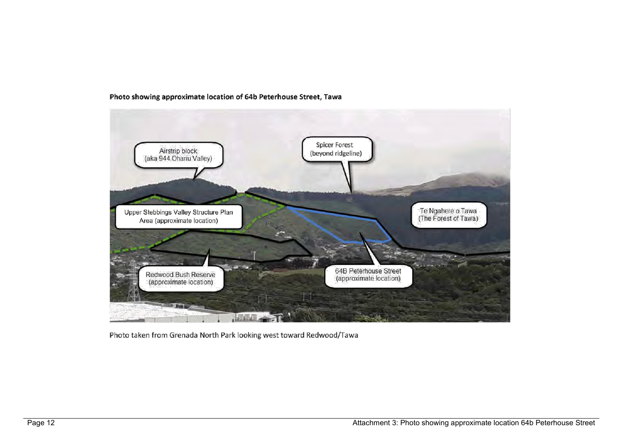

#### Photo showing approximate location of 64b Peterhouse Street, Tawa

Photo taken from Grenada North Park looking west toward Redwood/Tawa